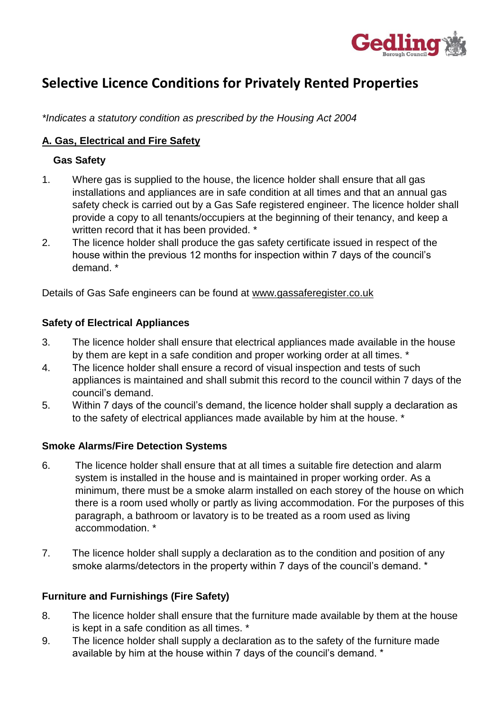

# **Selective Licence Conditions for Privately Rented Properties**

*\*Indicates a statutory condition as prescribed by the Housing Act 2004* 

# **A. Gas, Electrical and Fire Safety**

## **Gas Safety**

- 1. Where gas is supplied to the house, the licence holder shall ensure that all gas installations and appliances are in safe condition at all times and that an annual gas safety check is carried out by a Gas Safe registered engineer. The licence holder shall provide a copy to all tenants/occupiers at the beginning of their tenancy, and keep a written record that it has been provided. \*
- 2. The licence holder shall produce the gas safety certificate issued in respect of the house within the previous 12 months for inspection within 7 days of the council's demand. \*

Details of Gas Safe engineers can be found at www.gassaferegister.co.uk

#### **Safety of Electrical Appliances**

- 3. The licence holder shall ensure that electrical appliances made available in the house by them are kept in a safe condition and proper working order at all times. \*
- 4. The licence holder shall ensure a record of visual inspection and tests of such appliances is maintained and shall submit this record to the council within 7 days of the council's demand.
- 5. Within 7 days of the council's demand, the licence holder shall supply a declaration as to the safety of electrical appliances made available by him at the house. \*

#### **Smoke Alarms/Fire Detection Systems**

- 6. The licence holder shall ensure that at all times a suitable fire detection and alarm system is installed in the house and is maintained in proper working order. As a minimum, there must be a smoke alarm installed on each storey of the house on which there is a room used wholly or partly as living accommodation. For the purposes of this paragraph, a bathroom or lavatory is to be treated as a room used as living accommodation. \*
- 7. The licence holder shall supply a declaration as to the condition and position of any smoke alarms/detectors in the property within 7 days of the council's demand. \*

# **Furniture and Furnishings (Fire Safety)**

- 8. The licence holder shall ensure that the furniture made available by them at the house is kept in a safe condition as all times. \*
- 9. The licence holder shall supply a declaration as to the safety of the furniture made available by him at the house within 7 days of the council's demand. \*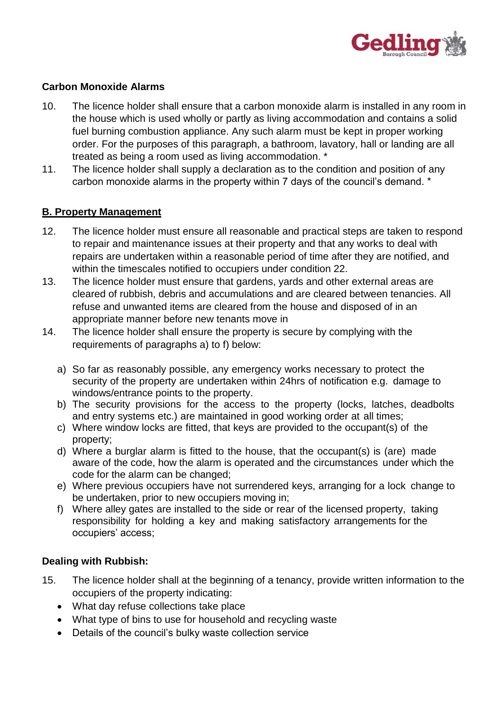

## **Carbon Monoxide Alarms**

- 10. The licence holder shall ensure that a carbon monoxide alarm is installed in any room in the house which is used wholly or partly as living accommodation and contains a solid fuel burning combustion appliance. Any such alarm must be kept in proper working order. For the purposes of this paragraph, a bathroom, lavatory, hall or landing are all treated as being a room used as living accommodation. \*
- 11. The licence holder shall supply a declaration as to the condition and position of any carbon monoxide alarms in the property within 7 days of the council's demand. \*

#### **B. Property Management**

- 12. The licence holder must ensure all reasonable and practical steps are taken to respond to repair and maintenance issues at their property and that any works to deal with repairs are undertaken within a reasonable period of time after they are notified, and within the timescales notified to occupiers under condition 22.
- 13. The licence holder must ensure that gardens, yards and other external areas are cleared of rubbish, debris and accumulations and are cleared between tenancies. All refuse and unwanted items are cleared from the house and disposed of in an appropriate manner before new tenants move in
- 14. The licence holder shall ensure the property is secure by complying with the requirements of paragraphs a) to f) below:
	- a) So far as reasonably possible, any emergency works necessary to protect the security of the property are undertaken within 24hrs of notification e.g. damage to windows/entrance points to the property.
	- b) The security provisions for the access to the property (locks, latches, deadbolts and entry systems etc.) are maintained in good working order at all times;
	- c) Where window locks are fitted, that keys are provided to the occupant(s) of the property;
	- d) Where a burglar alarm is fitted to the house, that the occupant(s) is (are) made aware of the code, how the alarm is operated and the circumstances under which the code for the alarm can be changed;
	- e) Where previous occupiers have not surrendered keys, arranging for a lock change to be undertaken, prior to new occupiers moving in;
	- f) Where alley gates are installed to the side or rear of the licensed property, taking responsibility for holding a key and making satisfactory arrangements for the occupiers' access;

#### **Dealing with Rubbish:**

- 15. The licence holder shall at the beginning of a tenancy, provide written information to the occupiers of the property indicating:
	- What day refuse collections take place
	- What type of bins to use for household and recycling waste
	- Details of the council's bulky waste collection service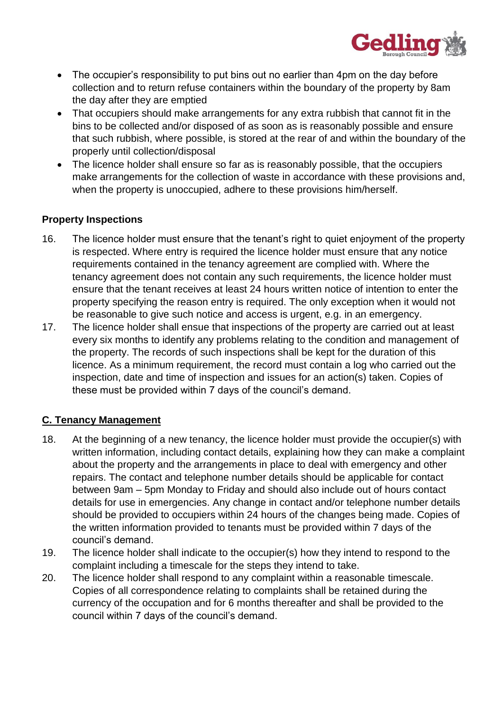

- The occupier's responsibility to put bins out no earlier than 4pm on the day before collection and to return refuse containers within the boundary of the property by 8am the day after they are emptied
- That occupiers should make arrangements for any extra rubbish that cannot fit in the bins to be collected and/or disposed of as soon as is reasonably possible and ensure that such rubbish, where possible, is stored at the rear of and within the boundary of the properly until collection/disposal
- The licence holder shall ensure so far as is reasonably possible, that the occupiers make arrangements for the collection of waste in accordance with these provisions and, when the property is unoccupied, adhere to these provisions him/herself.

# **Property Inspections**

- 16. The licence holder must ensure that the tenant's right to quiet enjoyment of the property is respected. Where entry is required the licence holder must ensure that any notice requirements contained in the tenancy agreement are complied with. Where the tenancy agreement does not contain any such requirements, the licence holder must ensure that the tenant receives at least 24 hours written notice of intention to enter the property specifying the reason entry is required. The only exception when it would not be reasonable to give such notice and access is urgent, e.g. in an emergency.
- 17. The licence holder shall ensue that inspections of the property are carried out at least every six months to identify any problems relating to the condition and management of the property. The records of such inspections shall be kept for the duration of this licence. As a minimum requirement, the record must contain a log who carried out the inspection, date and time of inspection and issues for an action(s) taken. Copies of these must be provided within 7 days of the council's demand.

# **C. Tenancy Management**

- 18. At the beginning of a new tenancy, the licence holder must provide the occupier(s) with written information, including contact details, explaining how they can make a complaint about the property and the arrangements in place to deal with emergency and other repairs. The contact and telephone number details should be applicable for contact between 9am – 5pm Monday to Friday and should also include out of hours contact details for use in emergencies. Any change in contact and/or telephone number details should be provided to occupiers within 24 hours of the changes being made. Copies of the written information provided to tenants must be provided within 7 days of the council's demand.
- 19. The licence holder shall indicate to the occupier(s) how they intend to respond to the complaint including a timescale for the steps they intend to take.
- 20. The licence holder shall respond to any complaint within a reasonable timescale. Copies of all correspondence relating to complaints shall be retained during the currency of the occupation and for 6 months thereafter and shall be provided to the council within 7 days of the council's demand.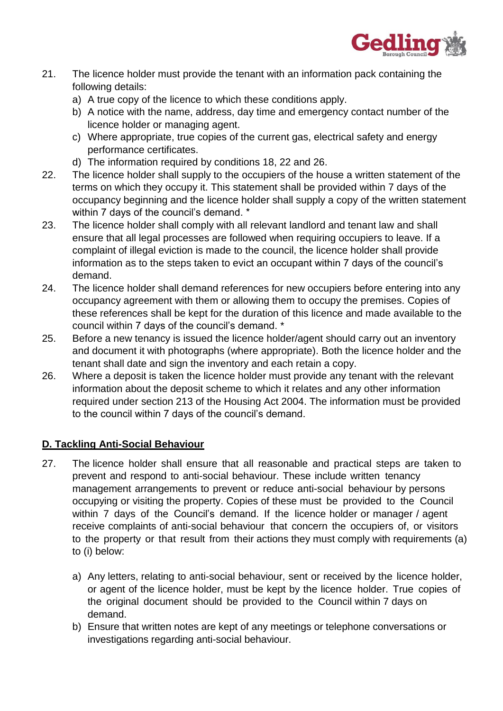

- 21. The licence holder must provide the tenant with an information pack containing the following details:
	- a) A true copy of the licence to which these conditions apply.
	- b) A notice with the name, address, day time and emergency contact number of the licence holder or managing agent.
	- c) Where appropriate, true copies of the current gas, electrical safety and energy performance certificates.
	- d) The information required by conditions 18, 22 and 26.
- 22. The licence holder shall supply to the occupiers of the house a written statement of the terms on which they occupy it. This statement shall be provided within 7 days of the occupancy beginning and the licence holder shall supply a copy of the written statement within 7 days of the council's demand. \*
- 23. The licence holder shall comply with all relevant landlord and tenant law and shall ensure that all legal processes are followed when requiring occupiers to leave. If a complaint of illegal eviction is made to the council, the licence holder shall provide information as to the steps taken to evict an occupant within 7 days of the council's demand.
- 24. The licence holder shall demand references for new occupiers before entering into any occupancy agreement with them or allowing them to occupy the premises. Copies of these references shall be kept for the duration of this licence and made available to the council within 7 days of the council's demand. \*
- 25. Before a new tenancy is issued the licence holder/agent should carry out an inventory and document it with photographs (where appropriate). Both the licence holder and the tenant shall date and sign the inventory and each retain a copy.
- 26. Where a deposit is taken the licence holder must provide any tenant with the relevant information about the deposit scheme to which it relates and any other information required under section 213 of the Housing Act 2004. The information must be provided to the council within 7 days of the council's demand.

# **D. Tackling Anti-Social Behaviour**

- 27. The licence holder shall ensure that all reasonable and practical steps are taken to prevent and respond to anti-social behaviour. These include written tenancy management arrangements to prevent or reduce anti-social behaviour by persons occupying or visiting the property. Copies of these must be provided to the Council within 7 days of the Council's demand. If the licence holder or manager / agent receive complaints of anti-social behaviour that concern the occupiers of, or visitors to the property or that result from their actions they must comply with requirements (a) to (i) below:
	- a) Any letters, relating to anti-social behaviour, sent or received by the licence holder, or agent of the licence holder, must be kept by the licence holder. True copies of the original document should be provided to the Council within 7 days on demand.
	- b) Ensure that written notes are kept of any meetings or telephone conversations or investigations regarding anti-social behaviour.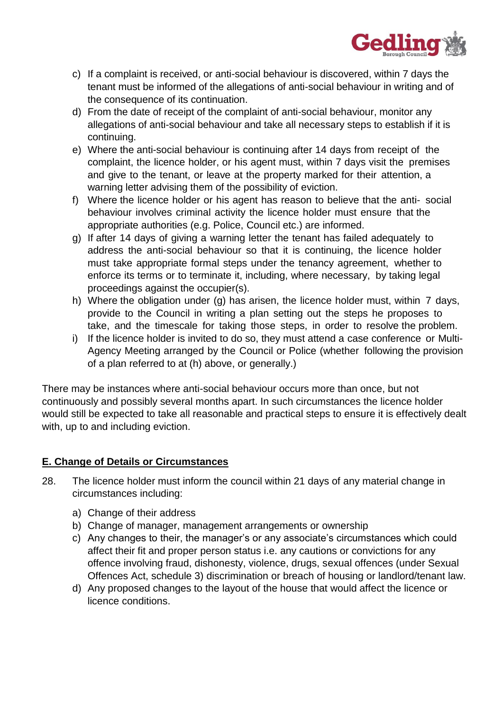

- c) If a complaint is received, or anti-social behaviour is discovered, within 7 days the tenant must be informed of the allegations of anti-social behaviour in writing and of the consequence of its continuation.
- d) From the date of receipt of the complaint of anti-social behaviour, monitor any allegations of anti-social behaviour and take all necessary steps to establish if it is continuing.
- e) Where the anti-social behaviour is continuing after 14 days from receipt of the complaint, the licence holder, or his agent must, within 7 days visit the premises and give to the tenant, or leave at the property marked for their attention, a warning letter advising them of the possibility of eviction.
- f) Where the licence holder or his agent has reason to believe that the anti- social behaviour involves criminal activity the licence holder must ensure that the appropriate authorities (e.g. Police, Council etc.) are informed.
- g) If after 14 days of giving a warning letter the tenant has failed adequately to address the anti-social behaviour so that it is continuing, the licence holder must take appropriate formal steps under the tenancy agreement, whether to enforce its terms or to terminate it, including, where necessary, by taking legal proceedings against the occupier(s).
- h) Where the obligation under (g) has arisen, the licence holder must, within 7 days, provide to the Council in writing a plan setting out the steps he proposes to take, and the timescale for taking those steps, in order to resolve the problem.
- i) If the licence holder is invited to do so, they must attend a case conference or Multi-Agency Meeting arranged by the Council or Police (whether following the provision of a plan referred to at (h) above, or generally.)

There may be instances where anti-social behaviour occurs more than once, but not continuously and possibly several months apart. In such circumstances the licence holder would still be expected to take all reasonable and practical steps to ensure it is effectively dealt with, up to and including eviction.

# **E. Change of Details or Circumstances**

- 28. The licence holder must inform the council within 21 days of any material change in circumstances including:
	- a) Change of their address
	- b) Change of manager, management arrangements or ownership
	- c) Any changes to their, the manager's or any associate's circumstances which could affect their fit and proper person status i.e. any cautions or convictions for any offence involving fraud, dishonesty, violence, drugs, sexual offences (under Sexual Offences Act, schedule 3) discrimination or breach of housing or landlord/tenant law.
	- d) Any proposed changes to the layout of the house that would affect the licence or licence conditions.